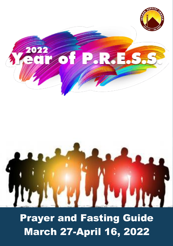

# Prayer and Fasting Guide March 27-April 16, 2022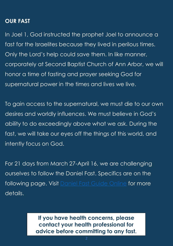# **OUR FAST**

In Joel 1, God instructed the prophet Joel to announce a fast for the Israelites because they lived in perilous times. Only the Lord's help could save them. In like manner, corporately at Second Baptist Church of Ann Arbor, we will honor a time of fasting and prayer seeking God for supernatural power in the times and lives we live.

To gain access to the supernatural, we must die to our own desires and worldly influences. We must believe in God's ability to do exceedingly above what we ask. During the fast, we will take our eyes off the things of this world, and intently focus on God.

For 21 days from March 27-April 16, we are challenging ourselves to follow the Daniel Fast. Specifics are on the following page. Visit [Daniel Fast Guide](https://ultimatedanielfast.com/ultimate-daniel-fast-food-guidelines/) Online for more details.

> **If you have health concerns, please contact your health professional for advice before committing to any fast.**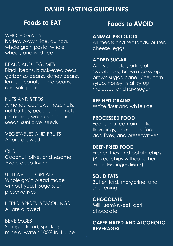# **DANIEL FASTING GUIDELINES**

# **Foods to EAT**

WHOLE GRAINS barley, brown rice, quinoa, whole grain pasta, whole wheat, and wild rice

BEANS AND LEGUMES Black beans, black-eyed peas, garbanzo beans, kidney beans, lentils, peanuts, pinto beans, and split peas

NUTS AND SEEDS Almonds, cashews, hazelnuts, nut butters, pecans, pine nuts, pistachios, walnuts, sesame seeds, sunflower seeds

VEGETABLES AND FRUITS All are allowed

# OILS

Coconut, olive, and sesame. Avoid deep-frying

UNLEAVENED BREAD Whole grain bread made without yeast, sugars, or preservatives

HERBS, SPICES, SEASONINGS All are allowed

BEVERAGES Spring, filtered, sparkling, mineral waters.100% fruit juice

# **Foods to AVOID**

#### **ANIMAL PRODUCTS**

All meats and seafoods, butter, cheese, eggs,

## **ADDED SUGAR**

Agave, nectar, artificial sweeteners, brown rice syrup, brown sugar, cane juice, corn syrup, honey, malt syrup, molasses, and raw sugar

**REFINED GRAINS** White flour and white rice

#### **PROCESSED FOOD**

Foods that contain artificial flavorings, chemicals, food additives, and preservatives.

#### **DEEP-FRIED FOOD**

French fries and potato chips (Baked chips without other restricted ingredients)

**SOLID FATS** Butter, lard, margarine, and shortening

**CHOCOLATE**  Milk, semi-sweet, dark chocolate

### **CAFFEINATED AND ALCOHOLIC BEVERAGES**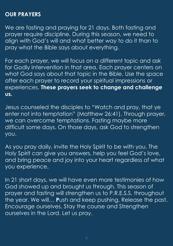# **OUR PRAYERS**

We are fasting and praying for 21 days. Both fasting and prayer require discipline. During this season, we need to align with God's will and what better way to do it than to pray what the Bible says about everything.

For each prayer, we will focus on a different topic and ask for Godly intervention in that area. Each prayer centers on what God says about that topic in the Bible. Use the space after each prayer to record your spiritual impressions or experiences. **These prayers seek to change and challenge us.**

Jesus counseled the disciples to "Watch and pray, that ye enter not into temptation" (Matthew 26:41). Through prayer, we can overcome temptations. Fasting maybe more difficult some days. On those days, ask God to strengthen you.

As you pray daily, invite the Holy Spirit to be with you. The Holy Spirit can give you answers, help you feel God's love, and bring peace and joy into your heart regardless of what you experience.

In 21 short days, we will have even more testimonies of how God showed up and brought us through. This season of prayer and fasting will strengthen us to P.R.E.S.S. throughout the year. We will… **P**ush and keep pushing, Release the past, Encourage ourselves, Stay the course and Strengthen ourselves in the Lord. Let us pray.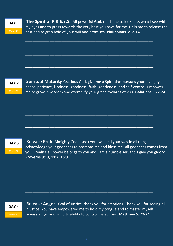**DAY 1**

**The Spirit of P.R.E.S.S.**–All powerful God, teach me to look pass what I see with my eyes and to press towards the very best you have for me. Help me to release the past and to grab hold of your will and promises. **Philippians 3:12-14**

**\_\_\_\_\_\_\_\_\_\_\_\_\_\_\_\_\_\_\_\_\_\_\_\_\_\_\_\_\_\_\_\_\_\_\_\_\_\_\_\_\_\_\_\_\_\_\_\_\_\_\_\_\_**

**\_\_\_\_\_\_\_\_\_\_\_\_\_\_\_\_\_\_\_\_\_\_\_\_\_\_\_\_\_\_\_\_\_\_\_\_\_\_\_\_\_\_\_\_\_\_\_\_\_\_\_\_\_**

**\_\_\_\_\_\_\_\_\_\_\_\_\_\_\_\_\_\_\_\_\_\_\_\_\_\_\_\_\_\_\_\_\_\_\_\_\_\_\_\_\_\_\_\_\_\_\_\_\_\_\_\_\_**

**\_\_\_\_\_\_\_\_\_\_\_\_\_\_\_\_\_\_\_\_\_\_\_\_\_\_\_\_\_\_\_\_\_\_\_\_\_\_\_\_\_\_\_\_\_\_\_\_\_\_\_\_\_**

**\_\_\_\_\_\_\_\_\_\_\_\_\_\_\_\_\_\_\_\_\_\_\_\_\_\_\_\_\_\_\_\_\_\_\_\_\_\_\_\_\_\_\_\_\_\_\_\_\_\_\_\_\_**

**\_\_\_\_\_\_\_\_\_\_\_\_\_\_\_\_\_\_\_\_\_\_\_\_\_\_\_\_\_\_\_\_\_\_\_\_\_\_\_\_\_\_\_\_\_\_\_\_\_\_\_\_\_**

**\_\_\_\_\_\_\_\_\_\_\_\_\_\_\_\_\_\_\_\_\_\_\_\_\_\_\_\_\_\_\_\_\_\_\_\_\_\_\_\_\_\_\_\_\_\_\_\_\_\_\_\_\_**

**\_\_\_\_\_\_\_\_\_\_\_\_\_\_\_\_\_\_\_\_\_\_\_\_\_\_\_\_\_\_\_\_\_\_\_\_\_\_\_\_\_\_\_\_\_\_\_\_\_\_\_\_\_**

**\_\_\_\_\_\_\_\_\_\_\_\_\_\_\_\_\_\_\_\_\_\_\_\_\_\_\_\_\_\_\_\_\_\_\_\_\_\_\_\_\_\_\_\_\_\_\_\_\_\_\_\_\_**

**\_\_\_\_\_\_\_\_\_\_\_\_\_\_\_\_\_\_\_\_\_\_\_\_\_\_\_\_\_\_\_\_\_\_\_\_\_\_\_\_\_\_\_\_\_\_\_\_\_\_\_\_\_**

**DAY 2**

**Spiritual Maturity** Gracious God, give me a Spirit that pursues your love, joy, peace, patience, kindness, goodness, faith, gentleness, and self-control. Empower me to grow in wisdom and exemplify your grace towards others. **Galatians 5:22-24**

#### **DAY 3**

**Release Pride** Almighty God, I seek your will and your way in all things. I acknowledge your goodness to promote me and bless me. All goodness comes from you. I realize all power belongs to you and I am a humble servant. I give you gRlory. **Proverbs 8:13, 11:2, 16:3**

#### **DAY 4**

**Release Anger** –God of Justice, thank you for emotions. Thank you for seeing all injustice. You have empowered me to hold my tongue and to master myself. I release anger and limit its ability to control my actions. **Matthew 5: 22-24**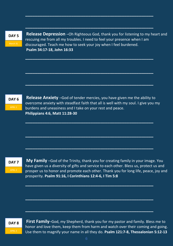**DAY 5**

**Release Depression** –Oh Righteous God, thank you for listening to my heart and rescuing me from all my troubles. I need to feel your presence when I am discouraged. Teach me how to seek your joy when I feel burdened. **Psalm 34:17-18, John 16:33**

**\_\_\_\_\_\_\_\_\_\_\_\_\_\_\_\_\_\_\_\_\_\_\_\_\_\_\_\_\_\_\_\_\_\_\_\_\_\_\_\_\_\_\_\_\_\_\_\_\_\_\_\_\_**

**\_\_\_\_\_\_\_\_\_\_\_\_\_\_\_\_\_\_\_\_\_\_\_\_\_\_\_\_\_\_\_\_\_\_\_\_\_\_\_\_\_\_\_\_\_\_\_\_\_\_\_\_\_**

**\_\_\_\_\_\_\_\_\_\_\_\_\_\_\_\_\_\_\_\_\_\_\_\_\_\_\_\_\_\_\_\_\_\_\_\_\_\_\_\_\_\_\_\_\_\_\_\_\_\_\_\_\_**

**\_\_\_\_\_\_\_\_\_\_\_\_\_\_\_\_\_\_\_\_\_\_\_\_\_\_\_\_\_\_\_\_\_\_\_\_\_\_\_\_\_\_\_\_\_\_\_\_\_\_\_\_\_**

**\_\_\_\_\_\_\_\_\_\_\_\_\_\_\_\_\_\_\_\_\_\_\_\_\_\_\_\_\_\_\_\_\_\_\_\_\_\_\_\_\_\_\_\_\_\_\_\_\_\_\_\_\_**



**Release Anxiety** –God of tender mercies, you have given me the ability to overcome anxiety with steadfast faith that all is well with my soul. I give you my burdens and uneasiness and I take on your rest and peace. **Philippians 4:6, Matt 11:28-30**

**\_\_\_\_\_\_\_\_\_\_\_\_\_\_\_\_\_\_\_\_\_\_\_\_\_\_\_\_\_\_\_\_\_\_\_\_\_\_\_\_\_\_\_\_\_\_\_\_\_\_\_\_\_**

**\_\_\_\_\_\_\_\_\_\_\_\_\_\_\_\_\_\_\_\_\_\_\_\_\_\_\_\_\_\_\_\_\_\_\_\_\_\_\_\_\_\_\_\_\_\_\_\_\_\_\_\_\_**

**\_\_\_\_\_\_\_\_\_\_\_\_\_\_\_\_\_\_\_\_\_\_\_\_\_\_\_\_\_\_\_\_\_\_\_\_\_\_\_\_\_\_\_\_\_\_\_\_\_\_\_\_\_**

**\_\_\_\_\_\_\_\_\_\_\_\_\_\_\_\_\_\_\_\_\_\_\_\_\_\_\_\_\_\_\_\_\_\_\_\_\_\_\_\_\_\_\_\_\_\_\_\_\_\_\_\_\_**

**\_\_\_\_\_\_\_\_\_\_\_\_\_\_\_\_\_\_\_\_\_\_\_\_\_\_\_\_\_\_\_\_\_\_\_\_\_\_\_\_\_\_\_\_\_\_\_\_\_\_\_\_\_**

**\_\_\_\_\_\_\_\_\_\_\_\_\_\_\_\_\_\_\_\_\_\_\_\_\_\_\_\_\_\_\_\_\_\_\_\_\_\_\_\_\_\_\_\_\_\_\_\_\_\_\_\_\_**

**DAY 7**

APRIL 2

**My Family** –God of the Trinity, thank you for creating family in your image. You have given us a diversity of gifts and service to each other. Bless us, protect us and prosper us to honor and promote each other. Thank you for long life, peace, joy and prosperity. **Psalm 91:16, I Corinthians 12:4-6, I Tim 5:8**

**DAY 8**

**First Family**–God, my Shepherd, thank you for my pastor and family. Bless me to honor and love them, keep them from harm and watch over their coming and going. Use them to magnify your name in all they do. **Psalm 121:7-8, Thessalonian 5:12-13**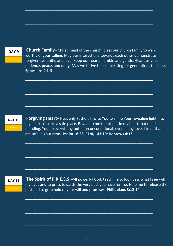#### **DAY 9**

**Church Family**– Christ, head of the church, bless our church family to walk worthy of your calling. May our interactions towards each other demonstrate forgiveness, unity, and love. Keep our hearts humble and gentle. Grant us your patience, peace, and unity. May we thrive to be a blessing for generations to come. **Ephesians 4:1-3**

**\_\_\_\_\_\_\_\_\_\_\_\_\_\_\_\_\_\_\_\_\_\_\_\_\_\_\_\_\_\_\_\_\_\_\_\_\_\_\_\_\_\_\_\_\_\_\_\_\_\_\_\_\_**

**\_\_\_\_\_\_\_\_\_\_\_\_\_\_\_\_\_\_\_\_\_\_\_\_\_\_\_\_\_\_\_\_\_\_\_\_\_\_\_\_\_\_\_\_\_\_\_\_\_\_\_\_\_**

**\_\_\_\_\_\_\_\_\_\_\_\_\_\_\_\_\_\_\_\_\_\_\_\_\_\_\_\_\_\_\_\_\_\_\_\_\_\_\_\_\_\_\_\_\_\_\_\_\_\_\_\_\_**

**\_\_\_\_\_\_\_\_\_\_\_\_\_\_\_\_\_\_\_\_\_\_\_\_\_\_\_\_\_\_\_\_\_\_\_\_\_\_\_\_\_\_\_\_\_\_\_\_\_\_\_\_\_**

**\_\_\_\_\_\_\_\_\_\_\_\_\_\_\_\_\_\_\_\_\_\_\_\_\_\_\_\_\_\_\_\_\_\_\_\_\_\_\_\_\_\_\_\_\_\_\_\_\_\_\_\_\_**

**\_\_\_\_\_\_\_\_\_\_\_\_\_\_\_\_\_\_\_\_\_\_\_\_\_\_\_\_\_\_\_\_\_\_\_\_\_\_\_\_\_\_\_\_\_\_\_\_\_\_\_\_\_**

**\_\_\_\_\_\_\_\_\_\_\_\_\_\_\_\_\_\_\_\_\_\_\_\_\_\_\_\_\_\_\_\_\_\_\_\_\_\_\_\_\_\_\_\_\_\_\_\_\_\_\_\_\_**

**\_\_\_\_\_\_\_\_\_\_\_\_\_\_\_\_\_\_\_\_\_\_\_\_\_\_\_\_\_\_\_\_\_\_\_\_\_\_\_\_\_\_\_\_\_\_\_\_\_\_\_\_\_**

**\_\_\_\_\_\_\_\_\_\_\_\_\_\_\_\_\_\_\_\_\_\_\_\_\_\_\_\_\_\_\_\_\_\_\_\_\_\_\_\_\_\_\_\_\_\_\_\_\_\_\_\_\_**

**\_\_\_\_\_\_\_\_\_\_\_\_\_\_\_\_\_\_\_\_\_\_\_\_\_\_\_\_\_\_\_\_\_\_\_\_\_\_\_\_\_\_\_\_\_\_\_\_\_\_\_\_\_**

**\_\_\_\_\_\_\_\_\_\_\_\_\_\_\_\_\_\_\_\_\_\_\_\_\_\_\_\_\_\_\_\_\_\_\_\_\_\_\_\_\_\_\_\_\_\_\_\_\_\_\_\_\_**

**\_\_\_\_\_\_\_\_\_\_\_\_\_\_\_\_\_\_\_\_\_\_\_\_\_\_\_\_\_\_\_\_\_\_\_\_\_\_\_\_\_\_\_\_\_\_\_\_\_\_\_\_\_**

**DAY 10**

APRIL 5

**Forgiving Heart**– Heavenly Father, I invite You to shine Your revealing light into my heart. You are a safe place. Reveal to me the places in my heart that need mending. You do everything out of an unconditional, everlasting love, I trust that I am safe in Your arms. **Psalm 18:28, 91:4, 143:10; Hebrews 4:12**

**DAY 11**

**The Spirit of P.R.E.S.S.**–All powerful God, teach me to look pass what I see with my eyes and to press towards the very best you have for me. Help me to release the past and to grab hold of your will and promises. **Philippians 3:12-14**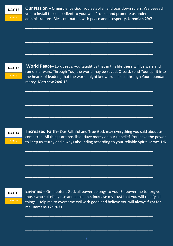**Our Nation** – Omniscience God, you establish and tear down rulers. We beseech you to install those obedient to your will. Protect and promote us under all administrations. Bless our nation with peace and prosperity. **Jeremiah 29:7**

**\_\_\_\_\_\_\_\_\_\_\_\_\_\_\_\_\_\_\_\_\_\_\_\_\_\_\_\_\_\_\_\_\_\_\_\_\_\_\_\_\_\_\_\_\_\_\_\_\_\_\_\_\_**

**\_\_\_\_\_\_\_\_\_\_\_\_\_\_\_\_\_\_\_\_\_\_\_\_\_\_\_\_\_\_\_\_\_\_\_\_\_\_\_\_\_\_\_\_\_\_\_\_\_\_\_\_\_**

**\_\_\_\_\_\_\_\_\_\_\_\_\_\_\_\_\_\_\_\_\_\_\_\_\_\_\_\_\_\_\_\_\_\_\_\_\_\_\_\_\_\_\_\_\_\_\_\_\_\_\_\_\_**

**\_\_\_\_\_\_\_\_\_\_\_\_\_\_\_\_\_\_\_\_\_\_\_\_\_\_\_\_\_\_\_\_\_\_\_\_\_\_\_\_\_\_\_\_\_\_\_\_\_\_\_\_\_**

**\_\_\_\_\_\_\_\_\_\_\_\_\_\_\_\_\_\_\_\_\_\_\_\_\_\_\_\_\_\_\_\_\_\_\_\_\_\_\_\_\_\_\_\_\_\_\_\_\_\_\_\_\_**

**\_\_\_\_\_\_\_\_\_\_\_\_\_\_\_\_\_\_\_\_\_\_\_\_\_\_\_\_\_\_\_\_\_\_\_\_\_\_\_\_\_\_\_\_\_\_\_\_\_\_\_\_\_**

**\_\_\_\_\_\_\_\_\_\_\_\_\_\_\_\_\_\_\_\_\_\_\_\_\_\_\_\_\_\_\_\_\_\_\_\_\_\_\_\_\_\_\_\_\_\_\_\_\_\_\_\_\_**

**\_\_\_\_\_\_\_\_\_\_\_\_\_\_\_\_\_\_\_\_\_\_\_\_\_\_\_\_\_\_\_\_\_\_\_\_\_\_\_\_\_\_\_\_\_\_\_\_\_\_\_\_\_**

**\_\_\_\_\_\_\_\_\_\_\_\_\_\_\_\_\_\_\_\_\_\_\_\_\_\_\_\_\_\_\_\_\_\_\_\_\_\_\_\_\_\_\_\_\_\_\_\_\_\_\_\_\_**

#### **DAY 13**

APRIL 8

**World Peace**– Lord Jesus, you taught us that in this life there will be wars and rumors of wars. Through You, the world may be saved. O Lord, send Your spirit into the hearts of leaders, that the world might know true peace through Your abundant mercy. **Matthew 24:6-13**

#### **DAY 14**

**Increased Faith**– Our Faithful and True God, may everything you said about us come true. All things are possible. Have mercy on our unbelief. You have the power to keep us sturdy and always abounding according to your reliable Spirit. **James 1:6**

#### **DAY 15**

**Enemies** – Omnipotent God, all power belongs to you. Empower me to forgive those who spitefully use and abuse me. Increase my trust that you will rectify all things. Help me to overcome evil with good and believe you will always fight for me. **Romans 12:19-21**

**\_\_\_\_\_\_\_\_\_\_\_\_\_\_\_\_\_\_\_\_\_\_\_\_\_\_\_\_\_\_\_\_\_\_\_\_\_\_\_\_\_\_\_\_\_\_\_\_\_\_\_\_\_**

**\_\_\_\_\_\_\_\_\_\_\_\_\_\_\_\_\_\_\_\_\_\_\_\_\_\_\_\_\_\_\_\_\_\_\_\_\_\_\_\_\_\_\_\_\_\_\_\_\_\_\_\_\_**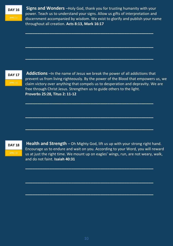**Signs and Wonders** –Holy God, thank you for trusting humanity with your power. Teach us to understand your signs. Allow us gifts of interpretation and discernment accompanied by wisdom. We exist to glorify and publish your name throughout all creation. **Acts 8:13, Mark 16:17**

**\_\_\_\_\_\_\_\_\_\_\_\_\_\_\_\_\_\_\_\_\_\_\_\_\_\_\_\_\_\_\_\_\_\_\_\_\_\_\_\_\_\_\_\_\_\_\_\_\_\_\_\_\_**

**\_\_\_\_\_\_\_\_\_\_\_\_\_\_\_\_\_\_\_\_\_\_\_\_\_\_\_\_\_\_\_\_\_\_\_\_\_\_\_\_\_\_\_\_\_\_\_\_\_\_\_\_\_**

**\_\_\_\_\_\_\_\_\_\_\_\_\_\_\_\_\_\_\_\_\_\_\_\_\_\_\_\_\_\_\_\_\_\_\_\_\_\_\_\_\_\_\_\_\_\_\_\_\_\_\_\_\_**

**\_\_\_\_\_\_\_\_\_\_\_\_\_\_\_\_\_\_\_\_\_\_\_\_\_\_\_\_\_\_\_\_\_\_\_\_\_\_\_\_\_\_\_\_\_\_\_\_\_\_\_\_\_**

**\_\_\_\_\_\_\_\_\_\_\_\_\_\_\_\_\_\_\_\_\_\_\_\_\_\_\_\_\_\_\_\_\_\_\_\_\_\_\_\_\_\_\_\_\_\_\_\_\_\_\_\_\_**

**\_\_\_\_\_\_\_\_\_\_\_\_\_\_\_\_\_\_\_\_\_\_\_\_\_\_\_\_\_\_\_\_\_\_\_\_\_\_\_\_\_\_\_\_\_\_\_\_\_\_\_\_\_**

**\_\_\_\_\_\_\_\_\_\_\_\_\_\_\_\_\_\_\_\_\_\_\_\_\_\_\_\_\_\_\_\_\_\_\_\_\_\_\_\_\_\_\_\_\_\_\_\_\_\_\_\_\_**

**\_\_\_\_\_\_\_\_\_\_\_\_\_\_\_\_\_\_\_\_\_\_\_\_\_\_\_\_\_\_\_\_\_\_\_\_\_\_\_\_\_\_\_\_\_\_\_\_\_\_\_\_\_**

**\_\_\_\_\_\_\_\_\_\_\_\_\_\_\_\_\_\_\_\_\_\_\_\_\_\_\_\_\_\_\_\_\_\_\_\_\_\_\_\_\_\_\_\_\_\_\_\_\_\_\_\_\_**

**DAY 17**

**Addictions** –In the name of Jesus we break the power of all addictions that prevent us from living righteously. By the power of the Blood that empowers us, we claim victory over anything that compels us to desperation and depravity. We are free through Christ Jesus. Strengthen us to guide others to the light. **Proverbs 25:28, Titus 2: 11-12**

**DAY 18**

**Health and Strength** – Oh Mighty God, lift us up with your strong right hand. Encourage us to endure and wait on you. According to your Word, you will reward us at just the right time. We mount up on eagles' wings, run, are not weary, walk, and do not faint. **Isaiah 40:31**